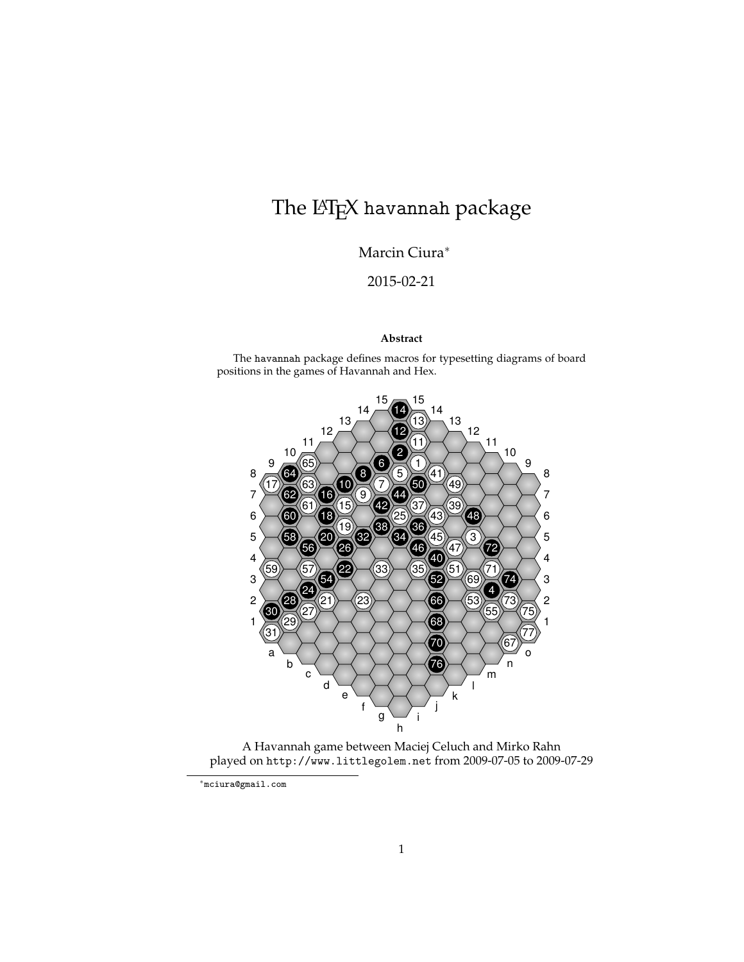# The L<sup>AT</sup>EX havannah package

Marcin Ciura<sup>∗</sup>

2015-02-21

#### **Abstract**

The havannah package defines macros for typesetting diagrams of board positions in the games of Havannah and Hex.



A Havannah game between Maciej Celuch and Mirko Rahn played on http://www.littlegolem.net from 2009-07-05 to 2009-07-29

<sup>∗</sup>mciura@gmail.com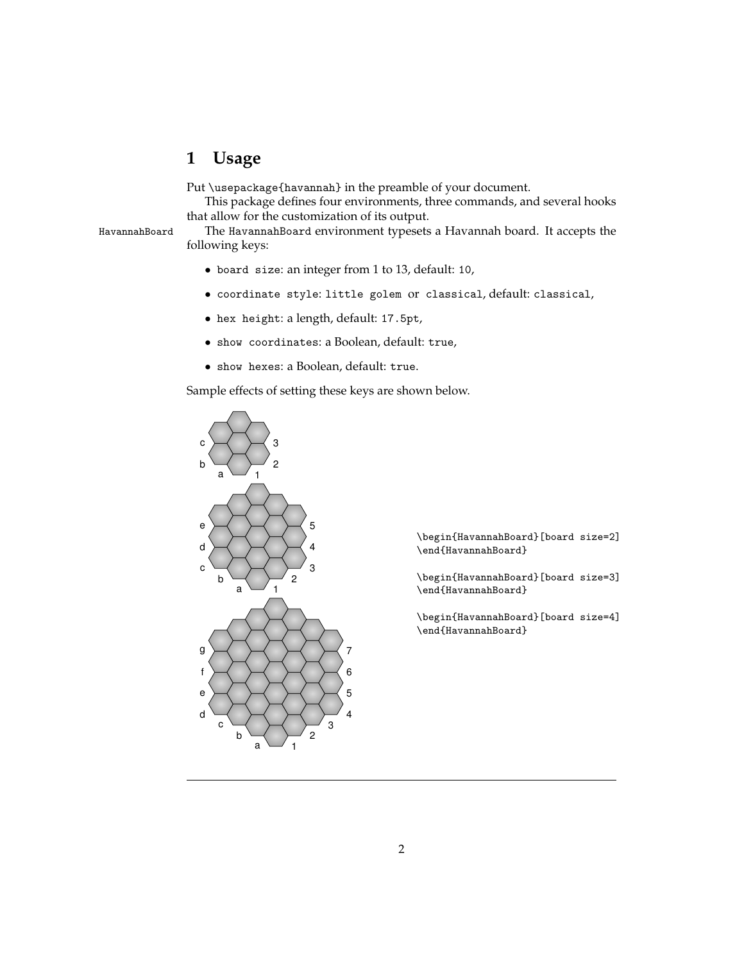## **1 Usage**

Put \usepackage{havannah} in the preamble of your document.

This package defines four environments, three commands, and several hooks that allow for the customization of its output.

HavannahBoard The HavannahBoard environment typesets a Havannah board. It accepts the following keys:

- board size: an integer from 1 to 13, default: 10,
- coordinate style: little golem or classical, default: classical,
- hex height: a length, default: 17.5pt,
- show coordinates: a Boolean, default: true,
- show hexes: a Boolean, default: true.

Sample effects of setting these keys are shown below.



\begin{HavannahBoard}[board size=2] \end{HavannahBoard}

\begin{HavannahBoard}[board size=3] \end{HavannahBoard}

\begin{HavannahBoard}[board size=4] \end{HavannahBoard}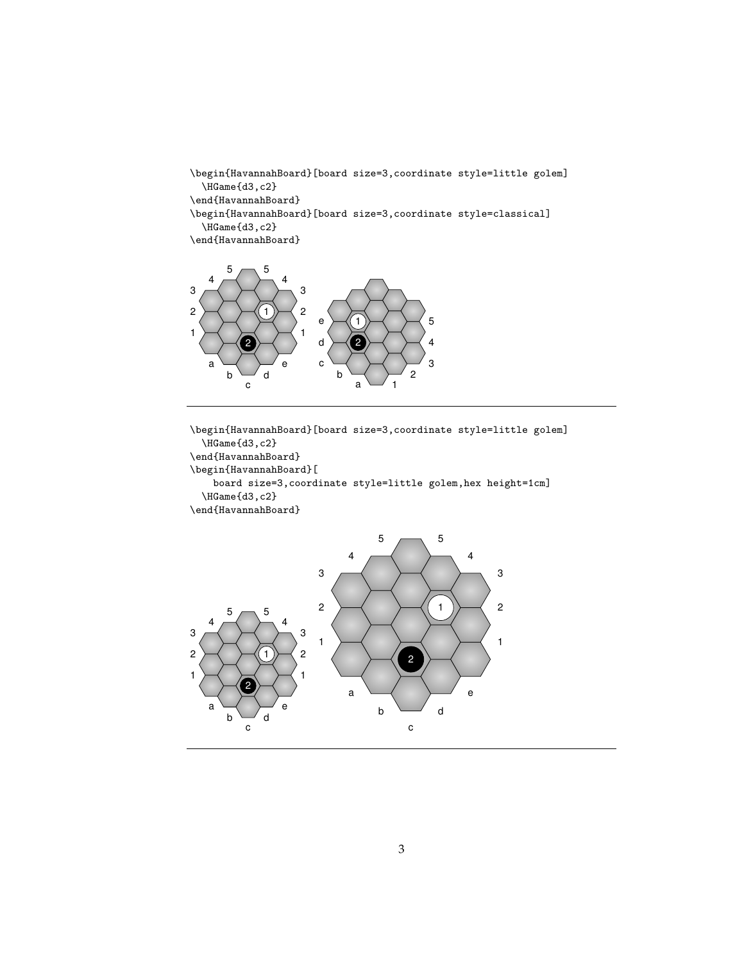```
\begin{HavannahBoard}[board size=3,coordinate style=little golem]
  \HGame{d3,c2}
\end{HavannahBoard}
\begin{HavannahBoard}[board size=3,coordinate style=classical]
  \HGame{d3,c2}
\end{HavannahBoard}
```


\begin{HavannahBoard}[board size=3,coordinate style=little golem] \HGame{d3,c2} \end{HavannahBoard} \begin{HavannahBoard}[ board size=3,coordinate style=little golem,hex height=1cm] \HGame{d3,c2} \end{HavannahBoard}

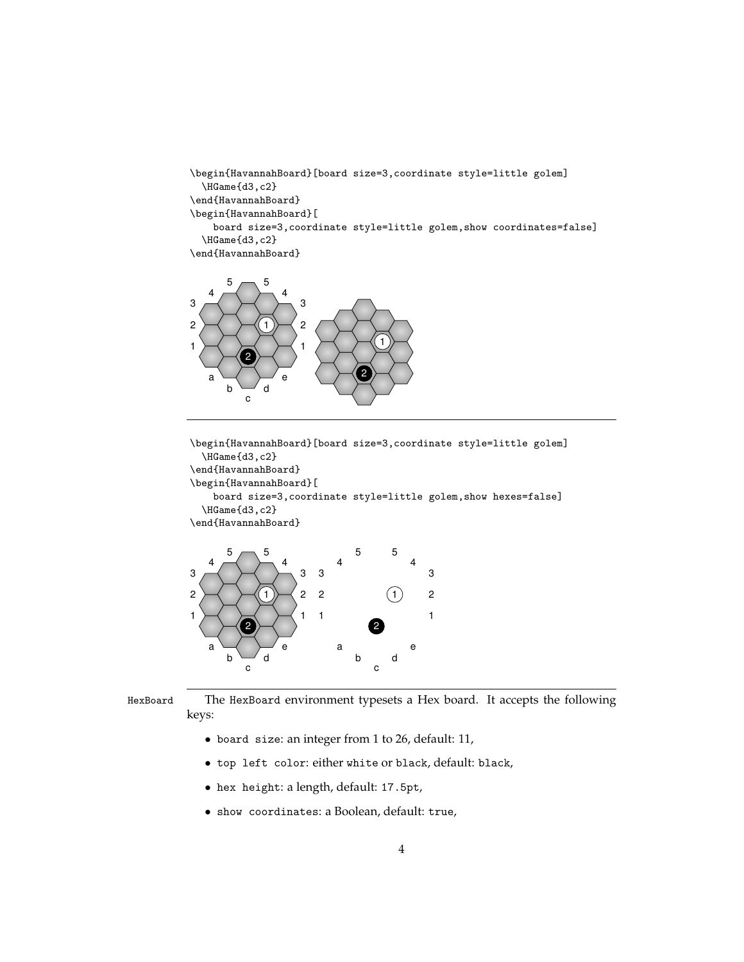```
\begin{HavannahBoard}[board size=3,coordinate style=little golem]
  \HGame{d3,c2}
\end{HavannahBoard}
\begin{HavannahBoard}[
   board size=3,coordinate style=little golem,show coordinates=false]
  \HGame{d3,c2}
\end{HavannahBoard}
```


\begin{HavannahBoard}[board size=3,coordinate style=little golem] \HGame{d3,c2} \end{HavannahBoard} \begin{HavannahBoard}[ board size=3,coordinate style=little golem,show hexes=false] \HGame{d3,c2} \end{HavannahBoard}



HexBoard The HexBoard environment typesets a Hex board. It accepts the following keys:

- board size: an integer from 1 to 26, default: 11,
- top left color: either white or black, default: black,
- hex height: a length, default: 17.5pt,
- show coordinates: a Boolean, default: true,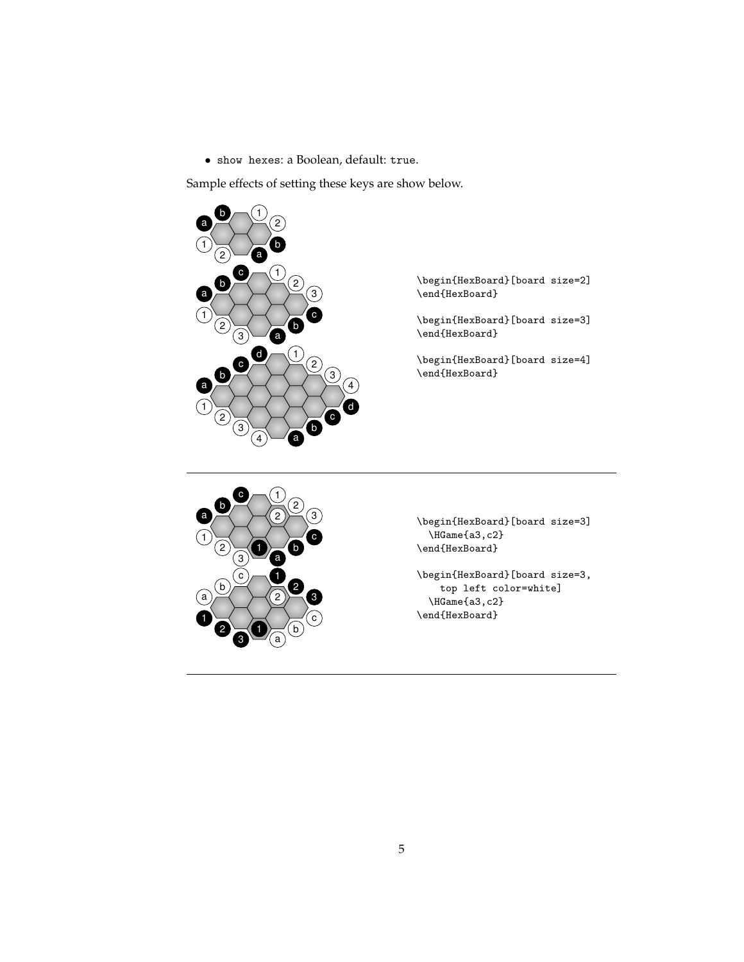• show hexes: a Boolean, default: true.

Sample effects of setting these keys are show below.



\begin{HexBoard}[board size=2] \end{HexBoard}

\begin{HexBoard}[board size=3] \end{HexBoard}

\begin{HexBoard}[board size=4] \end{HexBoard}



\begin{HexBoard}[board size=3] \HGame{a3,c2} \end{HexBoard}

\begin{HexBoard}[board size=3, top left color=white] \HGame{a3,c2} \end{HexBoard}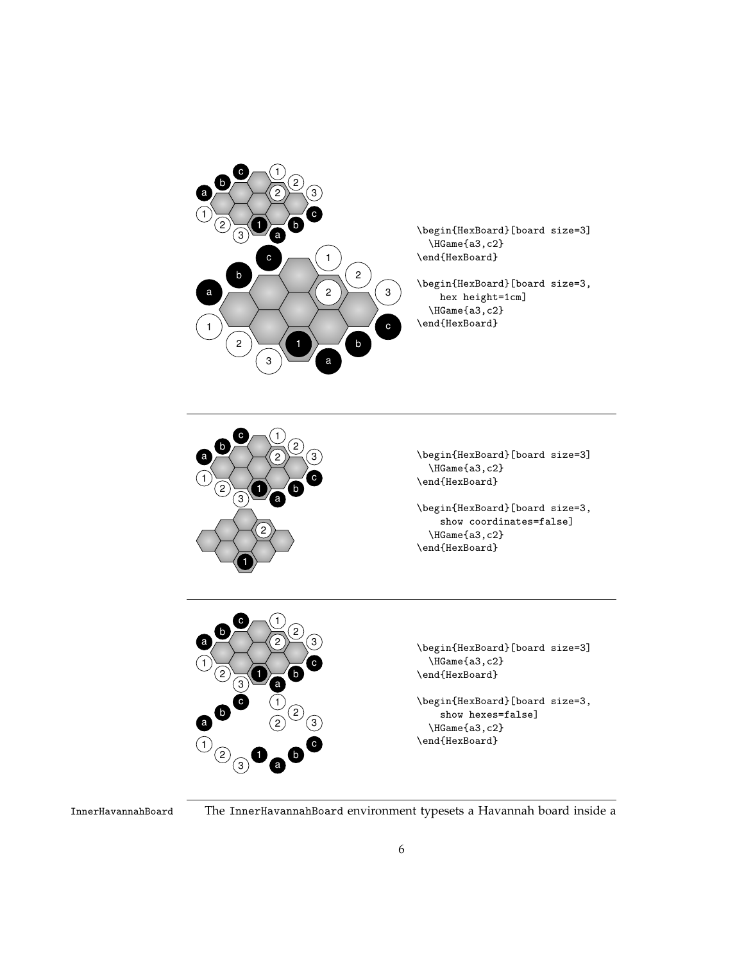

\begin{HexBoard}[board size=3] \HGame{a3,c2} \end{HexBoard}

\begin{HexBoard}[board size=3, hex height=1cm] \HGame{a3,c2} \end{HexBoard}



\begin{HexBoard}[board size=3] \HGame{a3,c2} \end{HexBoard}

\begin{HexBoard}[board size=3, show coordinates=false] \HGame{a3,c2} \end{HexBoard}



InnerHavannahBoard The InnerHavannahBoard environment typesets a Havannah board inside a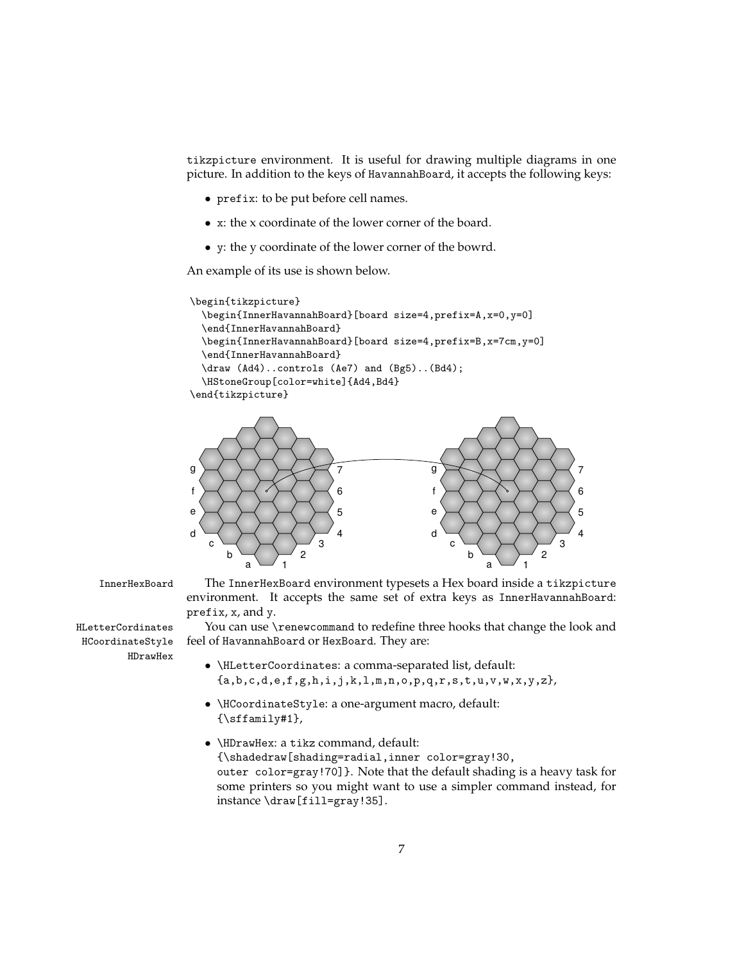tikzpicture environment. It is useful for drawing multiple diagrams in one picture. In addition to the keys of HavannahBoard, it accepts the following keys:

- prefix: to be put before cell names.
- x: the x coordinate of the lower corner of the board.
- y: the y coordinate of the lower corner of the bowrd.

An example of its use is shown below.

```
\begin{tikzpicture}
  \begin{InnerHavannahBoard}[board size=4,prefix=A,x=0,y=0]
  \end{InnerHavannahBoard}
  \begin{InnerHavannahBoard}[board size=4,prefix=B,x=7cm,y=0]
  \end{InnerHavannahBoard}
  \draw (Ad4)..controls (Ae7) and (Bg5)..(Bd4);
  \HStoneGroup[color=white]{Ad4,Bd4}
\end{tikzpicture}
```


HCoordinateStyle HDrawHex

InnerHexBoard The InnerHexBoard environment typesets a Hex board inside a tikzpicture environment. It accepts the same set of extra keys as InnerHavannahBoard: prefix, x, and y.

HLetterCordinates You can use \renewcommand to redefine three hooks that change the look and feel of HavannahBoard or HexBoard. They are:

- \HLetterCoordinates: a comma-separated list, default:  ${a,b,c,d,e,f,g,h,i,j,k,l,m,n,o,p,q,r,s,t,u,v,w,x,y,z}$ ,
- \HCoordinateStyle: a one-argument macro, default: {\sffamily#1},
- \HDrawHex: a tikz command, default: {\shadedraw[shading=radial,inner color=gray!30, outer color=gray!70]}. Note that the default shading is a heavy task for some printers so you might want to use a simpler command instead, for instance \draw[fill=gray!35].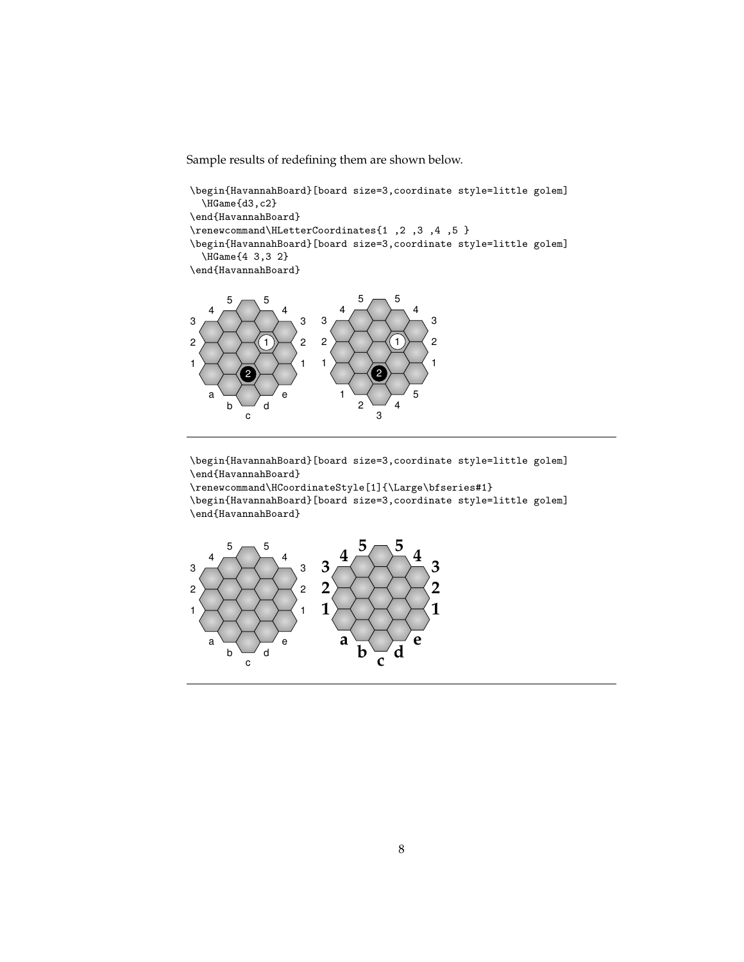Sample results of redefining them are shown below.

\begin{HavannahBoard}[board size=3,coordinate style=little golem] \HGame{d3,c2} \end{HavannahBoard} \renewcommand\HLetterCoordinates{1 ,2 ,3 ,4 ,5 } \begin{HavannahBoard}[board size=3,coordinate style=little golem] \HGame{4 3,3 2} \end{HavannahBoard}



\begin{HavannahBoard}[board size=3,coordinate style=little golem] \end{HavannahBoard}

\renewcommand\HCoordinateStyle[1]{\Large\bfseries#1}

\begin{HavannahBoard}[board size=3,coordinate style=little golem] \end{HavannahBoard}

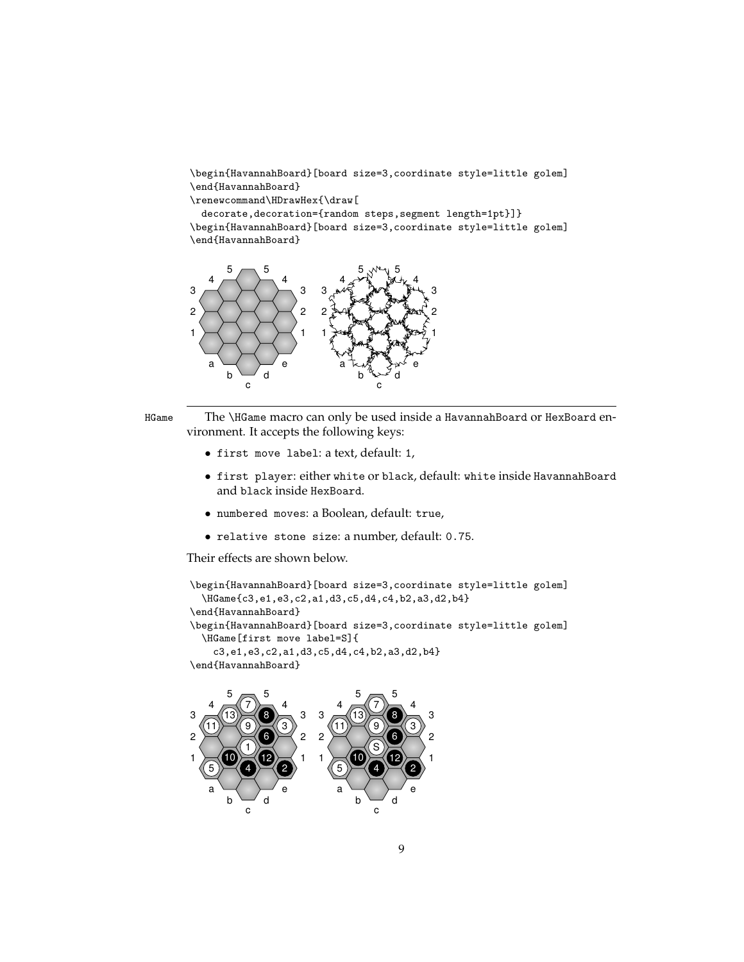\begin{HavannahBoard}[board size=3,coordinate style=little golem] \end{HavannahBoard}

\renewcommand\HDrawHex{\draw[

decorate,decoration={random steps,segment length=1pt}]} \begin{HavannahBoard}[board size=3,coordinate style=little golem] \end{HavannahBoard}





HGame The \HGame macro can only be used inside a HavannahBoard or HexBoard environment. It accepts the following keys:

- first move label: a text, default: 1,
- first player: either white or black, default: white inside HavannahBoard and black inside HexBoard.
- numbered moves: a Boolean, default: true,
- relative stone size: a number, default: 0.75.

Their effects are shown below.

```
\begin{HavannahBoard}[board size=3,coordinate style=little golem]
  \HGame{c3,e1,e3,c2,a1,d3,c5,d4,c4,b2,a3,d2,b4}
\end{HavannahBoard}
\begin{HavannahBoard}[board size=3,coordinate style=little golem]
  \HGame[first move label=S]{
    c3,e1,e3,c2,a1,d3,c5,d4,c4,b2,a3,d2,b4}
\end{HavannahBoard}
```
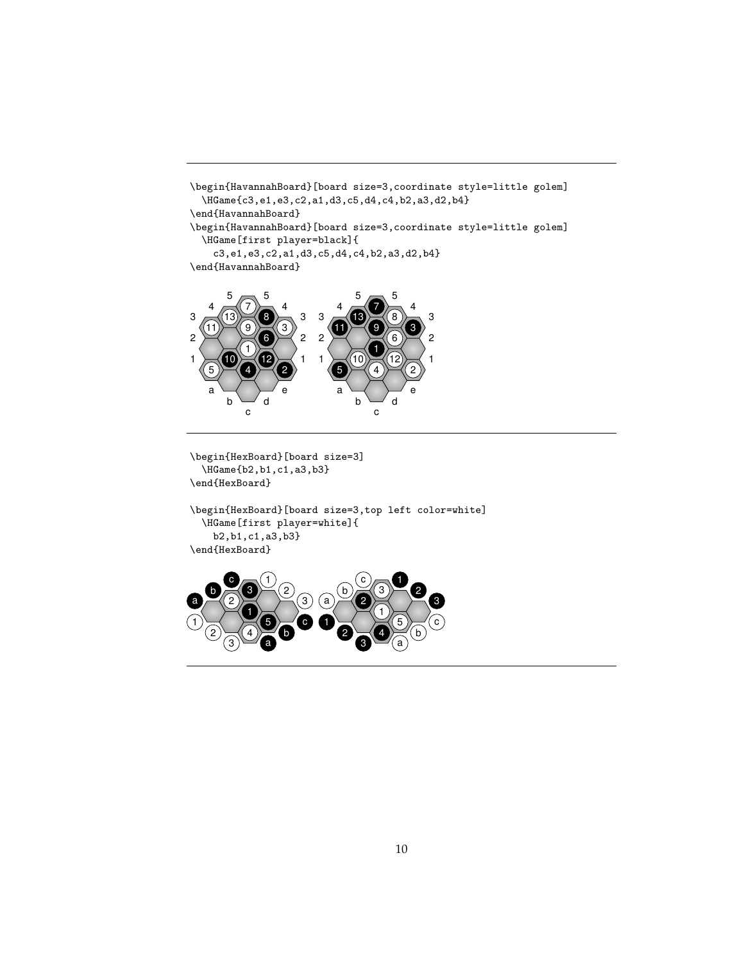```
\begin{HavannahBoard}[board size=3,coordinate style=little golem]
  \HGame{c3,e1,e3,c2,a1,d3,c5,d4,c4,b2,a3,d2,b4}
\end{HavannahBoard}
\begin{HavannahBoard}[board size=3,coordinate style=little golem]
 \HGame[first player=black]{
    c3,e1,e3,c2,a1,d3,c5,d4,c4,b2,a3,d2,b4}
\end{HavannahBoard}
       5 \rightarrow 55 \rightarrow 5
```


\begin{HexBoard}[board size=3] \HGame{b2,b1,c1,a3,b3} \end{HexBoard}

\begin{HexBoard}[board size=3,top left color=white] \HGame[first player=white]{ b2,b1,c1,a3,b3} \end{HexBoard}

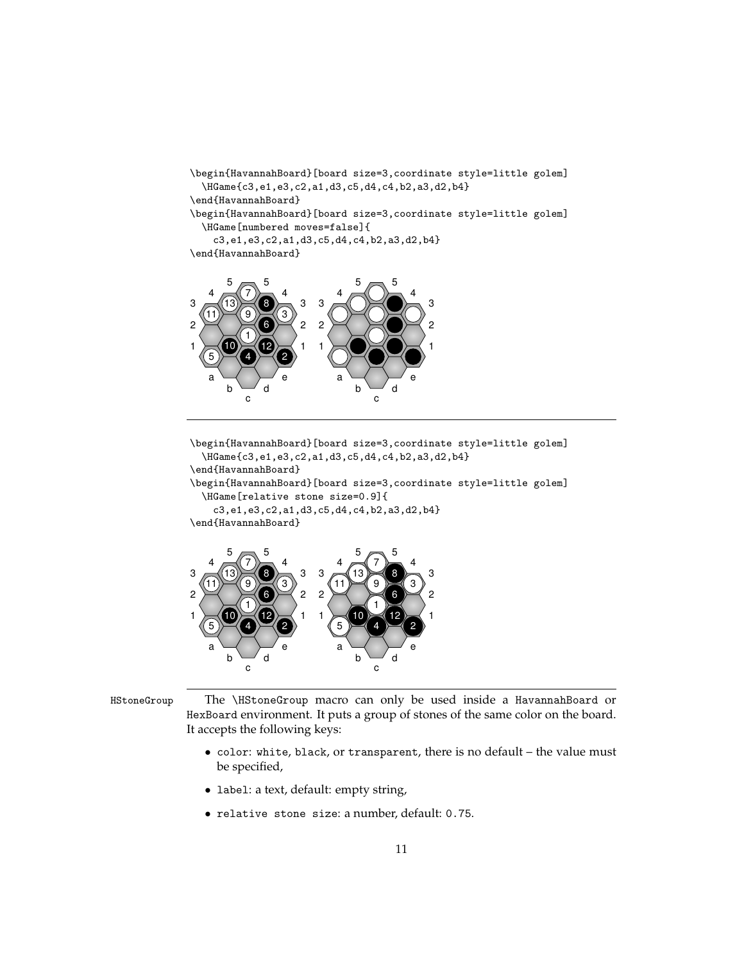```
\begin{HavannahBoard}[board size=3,coordinate style=little golem]
  \HGame{c3,e1,e3,c2,a1,d3,c5,d4,c4,b2,a3,d2,b4}
\end{HavannahBoard}
\begin{HavannahBoard}[board size=3,coordinate style=little golem]
  \HGame[numbered moves=false]{
    c3,e1,e3,c2,a1,d3,c5,d4,c4,b2,a3,d2,b4}
\end{HavannahBoard}
```


\begin{HavannahBoard}[board size=3,coordinate style=little golem] \HGame{c3,e1,e3,c2,a1,d3,c5,d4,c4,b2,a3,d2,b4}

\end{HavannahBoard}

\begin{HavannahBoard}[board size=3,coordinate style=little golem] \HGame[relative stone size=0.9]{

c3,e1,e3,c2,a1,d3,c5,d4,c4,b2,a3,d2,b4}





HStoneGroup The \HStoneGroup macro can only be used inside a HavannahBoard or HexBoard environment. It puts a group of stones of the same color on the board. It accepts the following keys:

- color: white, black, or transparent, there is no default the value must be specified,
- label: a text, default: empty string,
- relative stone size: a number, default: 0.75.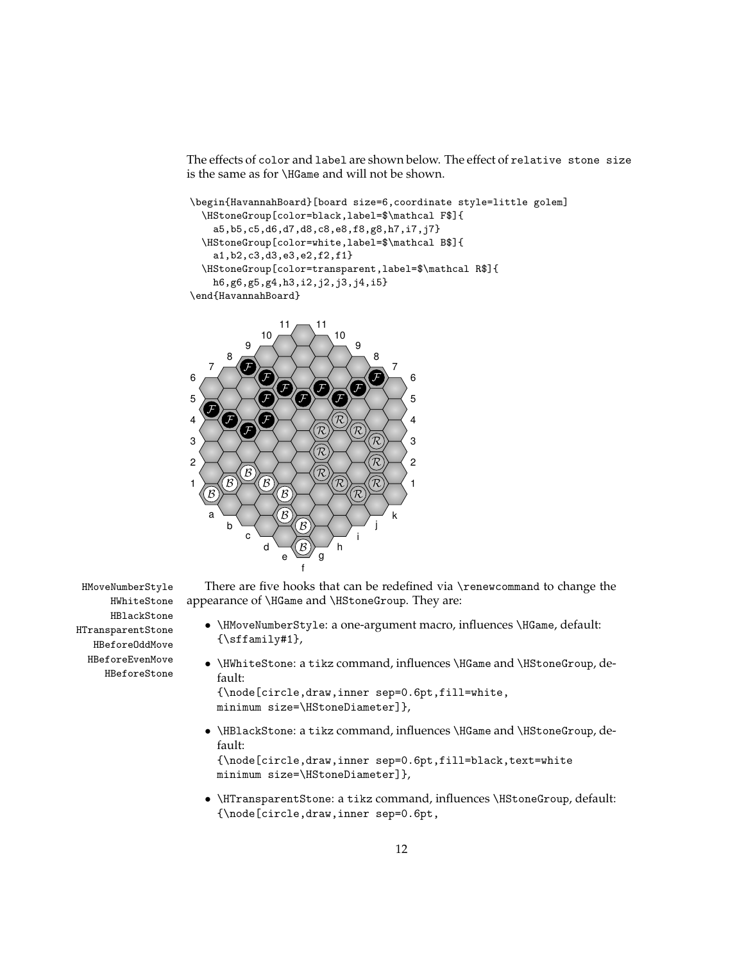The effects of color and label are shown below. The effect of relative stone size is the same as for \HGame and will not be shown.

```
\begin{HavannahBoard}[board size=6,coordinate style=little golem]
  \HStoneGroup[color=black,label=$\mathcal F$]{
    a5,b5,c5,d6,d7,d8,c8,e8,f8,g8,h7,i7,j7}
  \HStoneGroup[color=white,label=$\mathcal B$]{
    a1,b2,c3,d3,e3,e2,f2,f1}
  \HStoneGroup[color=transparent,label=$\mathcal R$]{
   h6,g6,g5,g4,h3,i2,j2,j3,j4,i5}
\end{HavannahBoard}
```


HWhiteStone HBlackStone HTransparentStone HBeforeOddMove HBeforeEvenMove

HBeforeStone

- HMoveNumberStyle There are five hooks that can be redefined via \renewcommand to change the appearance of \HGame and \HStoneGroup. They are:
	- \HMoveNumberStyle: a one-argument macro, influences \HGame, default: {\sffamily#1},
	- \HWhiteStone: a tikz command, influences \HGame and \HStoneGroup, default:

```
{\node[circle,draw,inner sep=0.6pt,fill=white,
minimum size=\HStoneDiameter]},
```
• \HBlackStone: a tikz command, influences \HGame and \HStoneGroup, default:

{\node[circle,draw,inner sep=0.6pt,fill=black,text=white minimum size=\HStoneDiameter]},

• \HTransparentStone: a tikz command, influences \HStoneGroup, default: {\node[circle,draw,inner sep=0.6pt,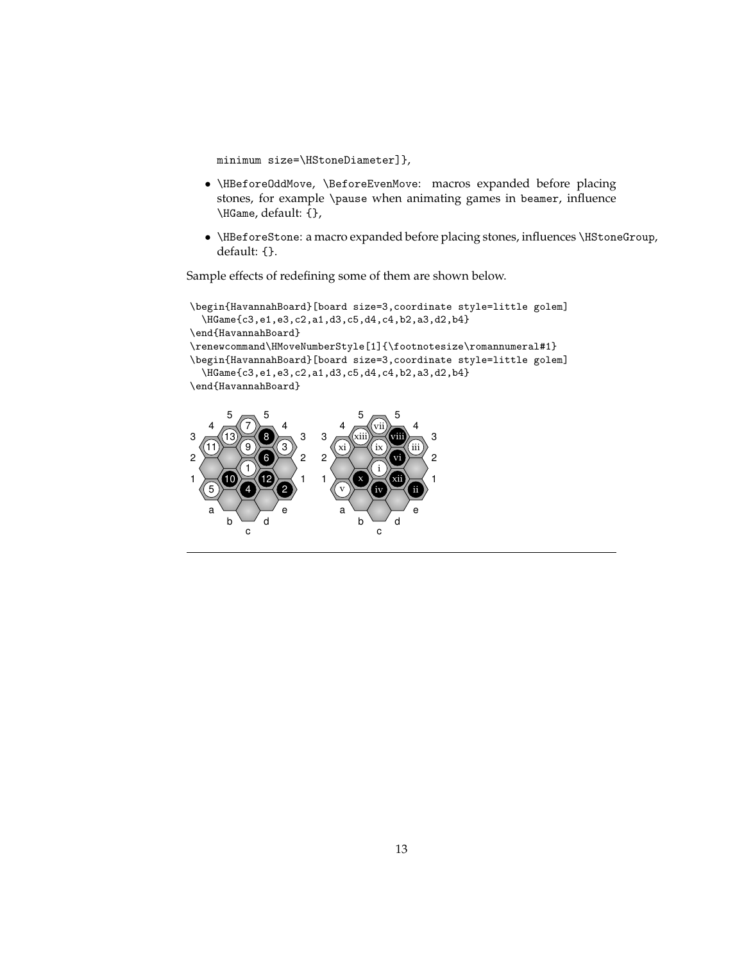minimum size=\HStoneDiameter]},

- \HBeforeOddMove, \BeforeEvenMove: macros expanded before placing stones, for example \pause when animating games in beamer, influence \HGame, default: {},
- \HBeforeStone: a macro expanded before placing stones, influences \HStoneGroup, default: {}.

Sample effects of redefining some of them are shown below.

```
\begin{HavannahBoard}[board size=3,coordinate style=little golem]
  \HGame{c3,e1,e3,c2,a1,d3,c5,d4,c4,b2,a3,d2,b4}
\end{HavannahBoard}
\renewcommand\HMoveNumberStyle[1]{\footnotesize\romannumeral#1}
\begin{HavannahBoard}[board size=3,coordinate style=little golem]
  \HGame{c3,e1,e3,c2,a1,d3,c5,d4,c4,b2,a3,d2,b4}
\end{HavannahBoard}
```
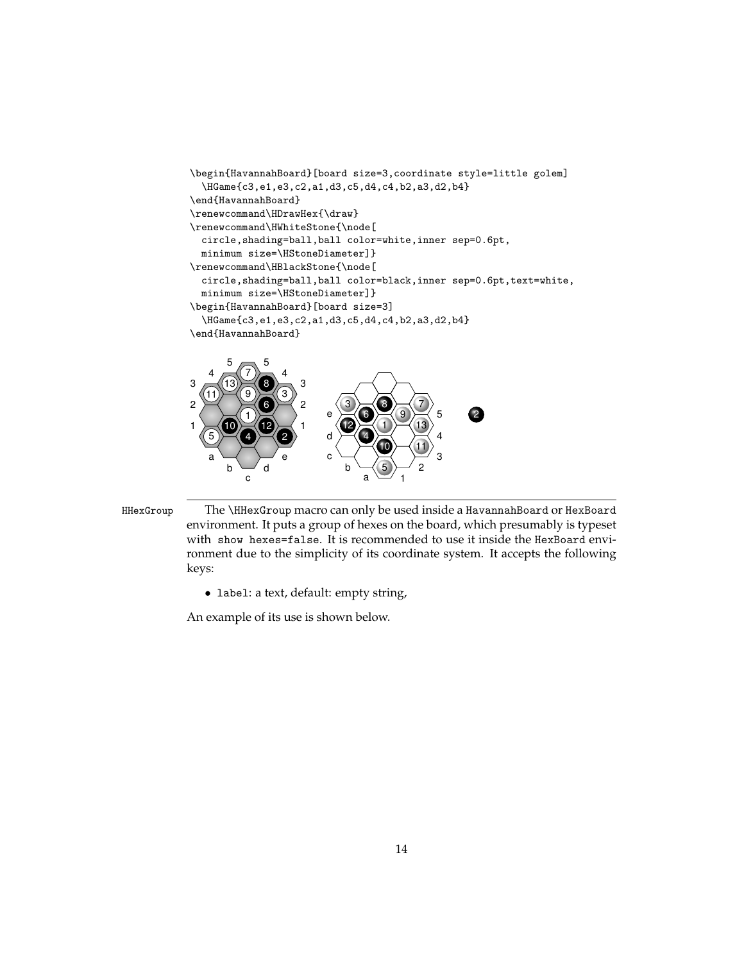```
\begin{HavannahBoard}[board size=3,coordinate style=little golem]
  \HGame{c3,e1,e3,c2,a1,d3,c5,d4,c4,b2,a3,d2,b4}
\end{HavannahBoard}
\renewcommand\HDrawHex{\draw}
\renewcommand\HWhiteStone{\node[
  circle,shading=ball,ball color=white,inner sep=0.6pt,
  minimum size=\HStoneDiameter]}
\renewcommand\HBlackStone{\node[
  circle,shading=ball,ball color=black,inner sep=0.6pt,text=white,
  minimum size=\HStoneDiameter]}
\begin{HavannahBoard}[board size=3]
  \HGame{c3,e1,e3,c2,a1,d3,c5,d4,c4,b2,a3,d2,b4}
\end{HavannahBoard}
1 \times 10 \times 12 \times 12 \approx \approx 6 \approx 2
3 \sim (13) \approx (8) \approx 34 \times (7) \times 45 \sim 51
                  2
                  3
    5)\geq (4)
              6
           7
              8
           9
       10
   11
              12
       13
                          d
                          e
                                               4
                                               5
                                     1
                                                     2
                              3
                                 4
                                 6
                                     \bullet \sim (7
                                        9
                             12 (1) (13
```


• label: a text, default: empty string,

An example of its use is shown below.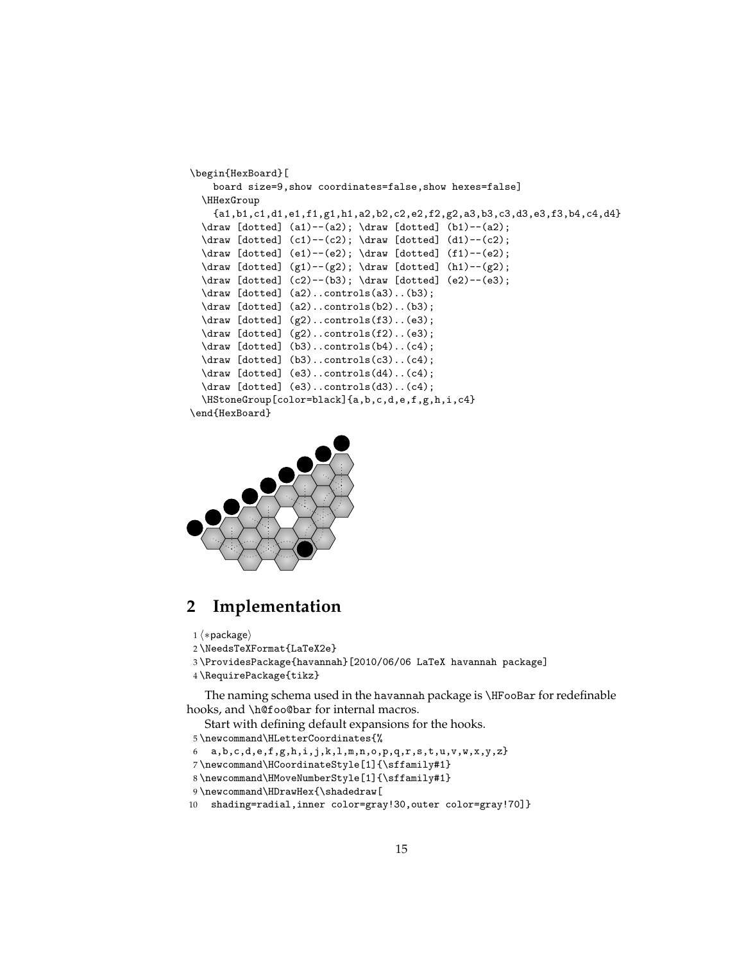```
\begin{HexBoard}[
    board size=9,show coordinates=false,show hexes=false]
  \HHexGroup
    {a1,b1,c1,d1,e1,f1,g1,h1,a2,b2,c2,e2,f2,g2,a3,b3,c3,d3,e3,f3,b4,c4,d4}
  \draw [dotted] (a1)--(a2); \draw [dotted] (b1)--(a2);
  \draw [dotted] (c1)--(c2); \draw [dotted] (d1)--(c2);
  \draw [dotted] (e1)--(e2); \draw [dotted] (f1)--(e2);
  \draw [dotted] (g1) --(g2); \draw [dotted] (h1) --(g2);
  \draw [dotted] (c2)--(b3); \draw [dotted] (e2)--(e3);
  \draw [dotted] (a2)..controls(a3)..(b3);
  \draw [dotted] (a2)..controls(b2)..(b3);
  \draw [dotted] (g2)..controls(f3)..(e3);
  \draw [dotted] (g2)..controls(f2)..(e3);
  \draw [dotted] (b3)..controls(b4)..(c4);
  \draw [dotted] (b3)..controls(c3)..(c4);
  \draw [dotted] (e3)..controls(d4)..(c4);
  \draw [dotted] (e3)..controls(d3)..(c4);
  \HStoneGroup[color=black]{a,b,c,d,e,f,g,h,i,c4}
\end{HexBoard}
```


### **2 Implementation**

- 1  $\langle *package \rangle$
- 2 \NeedsTeXFormat{LaTeX2e}
- 3 \ProvidesPackage{havannah}[2010/06/06 LaTeX havannah package]
- 4 \RequirePackage{tikz}

The naming schema used in the havannah package is \HFooBar for redefinable hooks, and \h@foo@bar for internal macros.

Start with defining default expansions for the hooks.

- 5 \newcommand\HLetterCoordinates{%
- 6 a,b,c,d,e,f,g,h,i,j,k,l,m,n,o,p,q,r,s,t,u,v,w,x,y,z}
- 7 \newcommand\HCoordinateStyle[1]{\sffamily#1}
- 8 \newcommand\HMoveNumberStyle[1]{\sffamily#1}
- 9 \newcommand\HDrawHex{\shadedraw[
- 10 shading=radial,inner color=gray!30,outer color=gray!70]}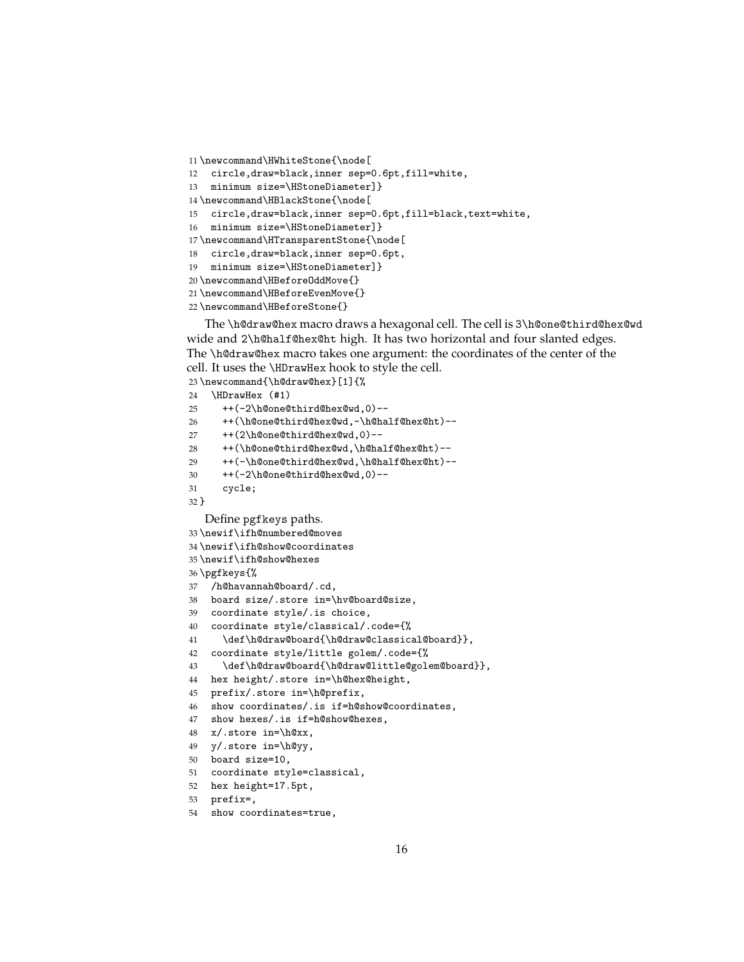```
11 \newcommand\HWhiteStone{\node[
12 circle,draw=black,inner sep=0.6pt,fill=white,
13 minimum size=\HStoneDiameter]}
14 \newcommand\HBlackStone{\node[
15 circle,draw=black,inner sep=0.6pt,fill=black,text=white,
16 minimum size=\HStoneDiameter]}
17 \newcommand\HTransparentStone{\node[
18 circle,draw=black,inner sep=0.6pt,
19 minimum size=\HStoneDiameter]}
20 \newcommand\HBeforeOddMove{}
21 \newcommand\HBeforeEvenMove{}
```

```
22 \newcommand\HBeforeStone{}
```
The \h@draw@hex macro draws a hexagonal cell. The cell is 3\h@one@third@hex@wd wide and 2\h@half@hex@ht high. It has two horizontal and four slanted edges. The \h@draw@hex macro takes one argument: the coordinates of the center of the cell. It uses the \HDrawHex hook to style the cell.

```
23 \newcommand{\h@draw@hex}[1]{%
24 \HDrawHex (#1)
25 ++(-2\h@one@third@hex@wd,0)--
26 ++(\h@one@third@hex@wd,-\h@half@hex@ht)--
27 ++(2\h@one@third@hex@wd,0)--
28 ++(\h@one@third@hex@wd,\h@half@hex@ht)--
29 ++(-\h@one@third@hex@wd,\h@half@hex@ht)--
30 ++(-2\h@one@third@hex@wd,0)--
31 cycle;
32 }
  Define pgfkeys paths.
33 \newif\ifh@numbered@moves
34 \newif\ifh@show@coordinates
35 \newif\ifh@show@hexes
36 \pgfkeys{%
37 /h@havannah@board/.cd,
38 board size/.store in=\hv@board@size,
39 coordinate style/.is choice,
40 coordinate style/classical/.code={%
41 \def\h@draw@board{\h@draw@classical@board}},
42 coordinate style/little golem/.code={%
43 \def\h@draw@board{\h@draw@little@golem@board}},
44 hex height/.store in=\h@hex@height,
45 prefix/.store in=\h@prefix,
46 show coordinates/.is if=h@show@coordinates,
47 show hexes/.is if=h@show@hexes,
48 x/.store in=\h@xx,
49 y/.store in=\h@yy,
50 board size=10,
51 coordinate style=classical,
52 hex height=17.5pt,
53 prefix=,
```

```
54 show coordinates=true,
```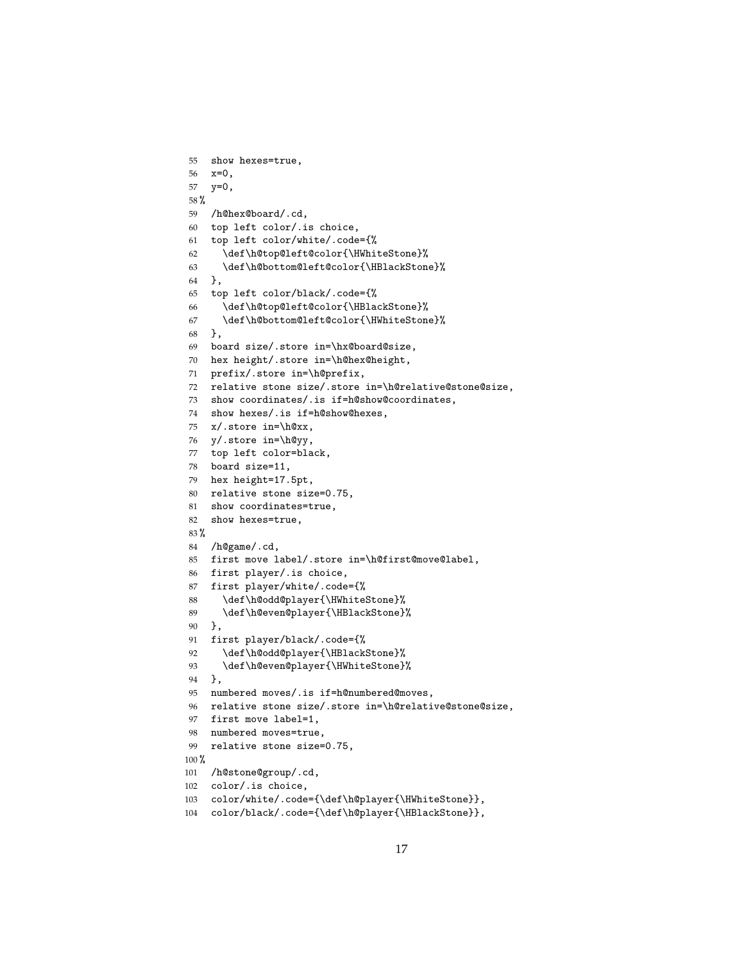```
55 show hexes=true,
56 x=0,
57 y=0,
58 %
59 /h@hex@board/.cd,
60 top left color/.is choice,
61 top left color/white/.code={%
62 \def\h@top@left@color{\HWhiteStone}%
63 \def\h@bottom@left@color{\HBlackStone}%
64 },
65 top left color/black/.code={%
66 \def\h@top@left@color{\HBlackStone}%
67 \def\h@bottom@left@color{\HWhiteStone}%
68 },
69 board size/.store in=\hx@board@size,
70 hex height/.store in=\h@hex@height,
71 prefix/.store in=\h@prefix,
72 relative stone size/.store in=\h@relative@stone@size,
73 show coordinates/.is if=h@show@coordinates,
74 show hexes/.is if=h@show@hexes,
75 x/.store in=\h@xx,
76 y/.store in=\h@yy,
77 top left color=black,
78 board size=11,
79 hex height=17.5pt,
80 relative stone size=0.75,
81 show coordinates=true,
82 show hexes=true,
83 %
84 /h@game/.cd,
85 first move label/.store in=\h@first@move@label,
86 first player/.is choice,
87 first player/white/.code={%
88 \def\h@odd@player{\HWhiteStone}%
89 \def\h@even@player{\HBlackStone}%
90 },
91 first player/black/.code={%
92 \def\h@odd@player{\HBlackStone}%
93 \def\h@even@player{\HWhiteStone}%
94 },
95 numbered moves/.is if=h@numbered@moves,
96 relative stone size/.store in=\h@relative@stone@size,
97 first move label=1,
98 numbered moves=true,
99 relative stone size=0.75,
100 %
101 /h@stone@group/.cd,
102 color/.is choice,
103 color/white/.code={\def\h@player{\HWhiteStone}},
104 color/black/.code={\def\h@player{\HBlackStone}},
```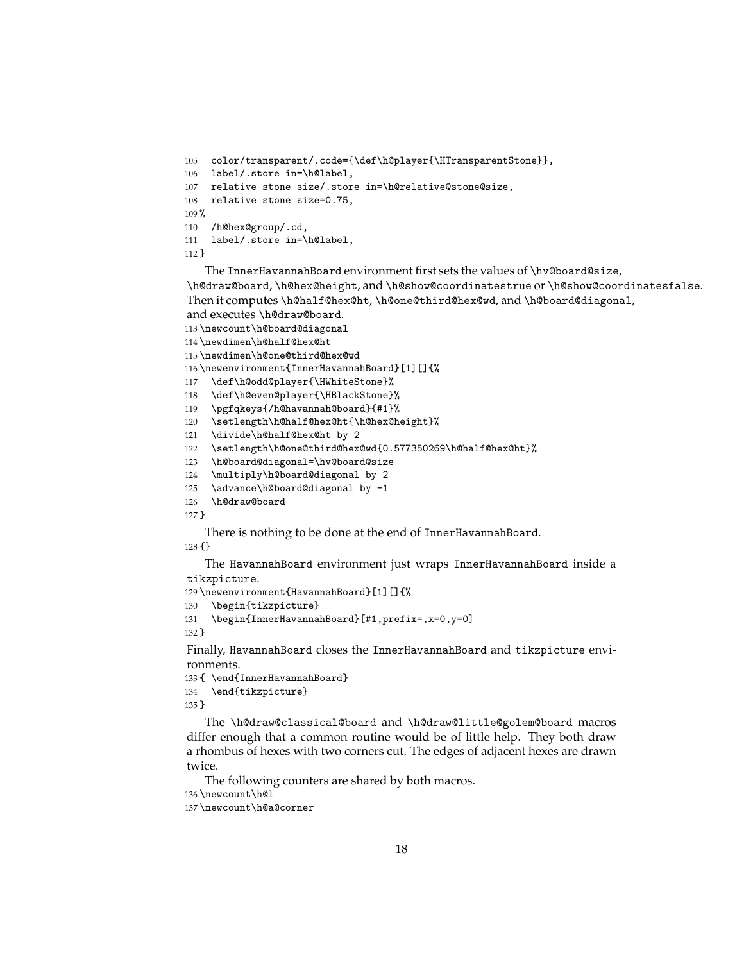```
105 color/transparent/.code={\def\h@player{\HTransparentStone}},
106 label/.store in=\h@label,
107 relative stone size/.store in=\h@relative@stone@size,
108 relative stone size=0.75,
109 %
110 /h@hex@group/.cd,
111 label/.store in=\h@label,
112 }
```
The InnerHavannahBoard environment first sets the values of \hv@board@size, \h@draw@board, \h@hex@height, and \h@show@coordinatestrue or \h@show@coordinatesfalse. Then it computes \h@half@hex@ht, \h@one@third@hex@wd, and \h@board@diagonal, and executes \h@draw@board.

```
113 \newcount\h@board@diagonal
```

```
114 \newdimen\h@half@hex@ht
```

```
115 \newdimen\h@one@third@hex@wd
```
\newenvironment{InnerHavannahBoard}[1][]{%

```
117 \def\h@odd@player{\HWhiteStone}%
```
\def\h@even@player{\HBlackStone}%

- \pgfqkeys{/h@havannah@board}{#1}%
- \setlength\h@half@hex@ht{\h@hex@height}%
- \divide\h@half@hex@ht by 2

```
122 \setlength\h@one@third@hex@wd{0.577350269\h@half@hex@ht}%
```

```
123 \h@board@diagonal=\hv@board@size
```
- \multiply\h@board@diagonal by 2
- 125 \advance\h@board@diagonal by -1
- \h@draw@board

```
127 }
```
There is nothing to be done at the end of InnerHavannahBoard.

{}

The HavannahBoard environment just wraps InnerHavannahBoard inside a tikzpicture.

\newenvironment{HavannahBoard}[1][]{%

```
130 \begin{tikzpicture}
```

```
131 \begin{InnerHavannahBoard}[#1,prefix=,x=0,y=0]
```
}

Finally, HavannahBoard closes the InnerHavannahBoard and tikzpicture environments.

```
133 { \end{InnerHavannahBoard}
134 \end{tikzpicture}
135 }
```
The \h@draw@classical@board and \h@draw@little@golem@board macros differ enough that a common routine would be of little help. They both draw a rhombus of hexes with two corners cut. The edges of adjacent hexes are drawn twice.

The following counters are shared by both macros.

```
136 \newcount\h@l
```

```
137 \newcount\h@a@corner
```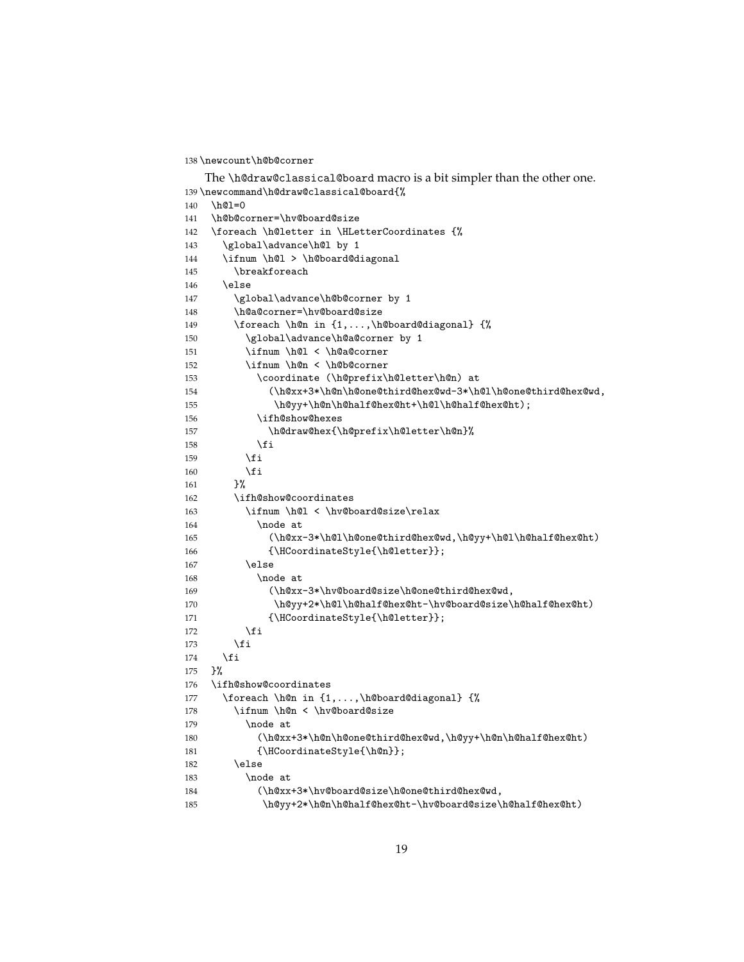\newcount\h@b@corner

```
The \h@draw@classical@board macro is a bit simpler than the other one.
139 \newcommand\h@draw@classical@board{%
140 \h@l=0
141 \h@b@corner=\hv@board@size
142 \foreach \h@letter in \HLetterCoordinates {%
143 \global\advance\h@l by 1
144 \ifnum \h@l > \h@board@diagonal
145 \breakforeach
146 \else
147 \global\advance\h@b@corner by 1
148 \h@a@corner=\hv@board@size
149 \foreach \h@n in {1,...,\h@board@diagonal} {%
150 \global\advance\h@a@corner by 1
151 \ifnum \h@l < \h@a@corner
152 \ifnum \h@n < \h@b@corner
153 \coordinate (\h@prefix\h@letter\h@n) at
154 (\h@xx+3*\h@n\h@one@third@hex@wd-3*\h@l\h@one@third@hex@wd,
155 \h@yy+\h@n\h@half@hex@ht+\h@l\h@half@hex@ht);
156 \ifh@show@hexes
157 \h@draw@hex{\h@prefix\h@letter\h@n}%
158 \quad \text{if}159 \ifmmode \overline{159} \else 159 \ifmmode \overline{159} \else 159 \fi160 \quad \text{if}161 }%
162 \ifh@show@coordinates
163 \ifnum \h@l < \hv@board@size\relax
164 \node at
165 (\h@xx-3*\h@l\h@one@third@hex@wd,\h@yy+\h@l\h@half@hex@ht)
166 {\HCoordinateStyle{\h@letter}};
167 \else
168 \node at
169 (\h@xx-3*\hv@board@size\h@one@third@hex@wd,
170 \h@yy+2*\h@l\h@half@hex@ht-\hv@board@size\h@half@hex@ht)
171 {\HCoordinateStyle{\h@letter}};
172 \quad \text{if}173 \fi
174 \fi
175 }%
176 \ifh@show@coordinates
177 \foreach \h@n in {1,...,\h@board@diagonal} {%
178 \ifnum \h@n < \hv@board@size
179 \node at
180 (\h@xx+3*\h@n\h@one@third@hex@wd,\h@yy+\h@n\h@half@hex@ht)
181 {\HCoordinateStyle{\h@n}};
182 \else
183 \node at
184 (\h@xx+3*\hv@board@size\h@one@third@hex@wd,
185 \h@yy+2*\h@n\h@half@hex@ht-\hv@board@size\h@half@hex@ht)
```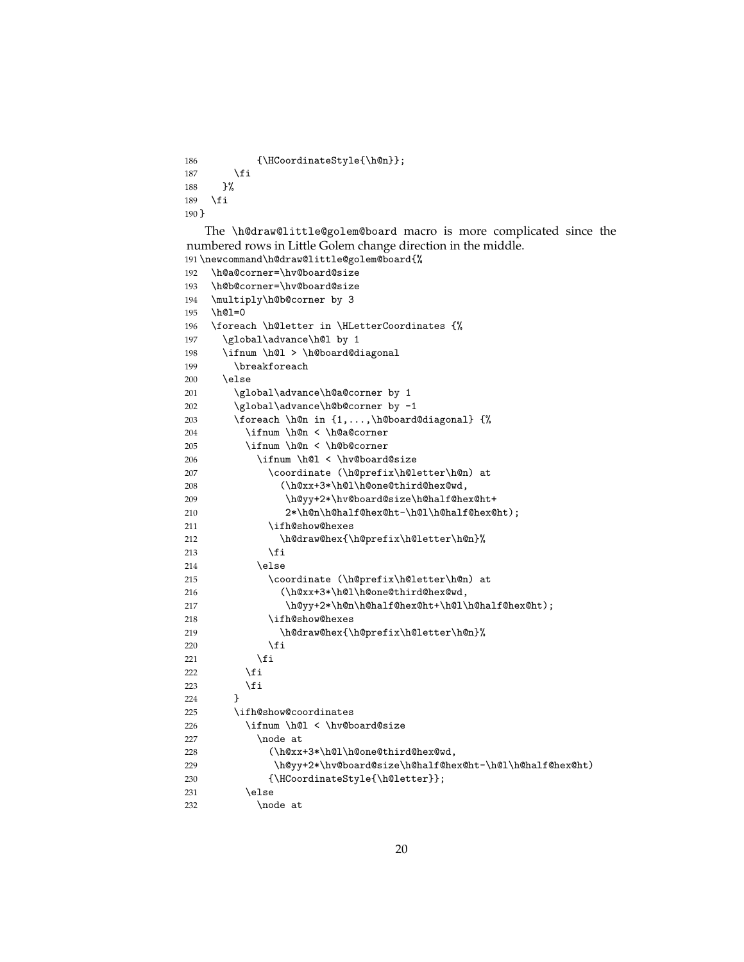```
186 {\HCoordinateStyle{\h@n}};
187 \overrightarrow{fi}188 }%
189 \fi
190 }
```
The \h@draw@little@golem@board macro is more complicated since the numbered rows in Little Golem change direction in the middle.

```
191 \newcommand\h@draw@little@golem@board{%
192 \h@a@corner=\hv@board@size
193 \h@b@corner=\hv@board@size
194 \multiply\h@b@corner by 3
195 \h@l=0
196 \foreach \h@letter in \HLetterCoordinates {%
197 \global\advance\h@l by 1
198 \ifnum \h@l > \h@board@diagonal
199 \breakforeach
200 \else
201 \global\advance\h@a@corner by 1
202 \global\advance\h@b@corner by -1
203 \foreach \h@n in {1,...,\h@board@diagonal} {%
204 \ifnum \h@n < \h@a@corner
205 \ifnum \h@n < \h@b@corner
206 \ifnum \h@l < \hv@board@size
207 \coordinate (\h@prefix\h@letter\h@n) at
208 (\h@xx+3*\h@l\h@one@third@hex@wd,
209 \h@yy+2*\hv@board@size\h@half@hex@ht+
210 2*\h@n\h@half@hex@ht-\h@l\h@half@hex@ht);
211 \ifh@show@hexes
212 \h@draw@hex{\h@prefix\h@letter\h@n}%
213 \qquad \qquad \fi
214 \else
215 \coordinate (\h@prefix\h@letter\h@n) at
216 (\h@xx+3*\h@l\h@one@third@hex@wd,
217 \h@yy+2*\h@n\h@half@hex@ht+\h@l\h@half@hex@ht);
218 \ifh@show@hexes
219 \h@draw@hex{\h@prefix\h@letter\h@n}%
220 \quad \text{if}221 \fi
222 \qquad \qquad \int fi
223 \fi
224 }
225 \ifh@show@coordinates
226 \ifnum \h@l < \hv@board@size
227 \node at
228 (\h@xx+3*\h@l\h@one@third@hex@wd,
229 \h@yy+2*\hv@board@size\h@half@hex@ht-\h@l\h@half@hex@ht)
230 {\HCoordinateStyle{\h@letter}};
231 \else
232 \node at
```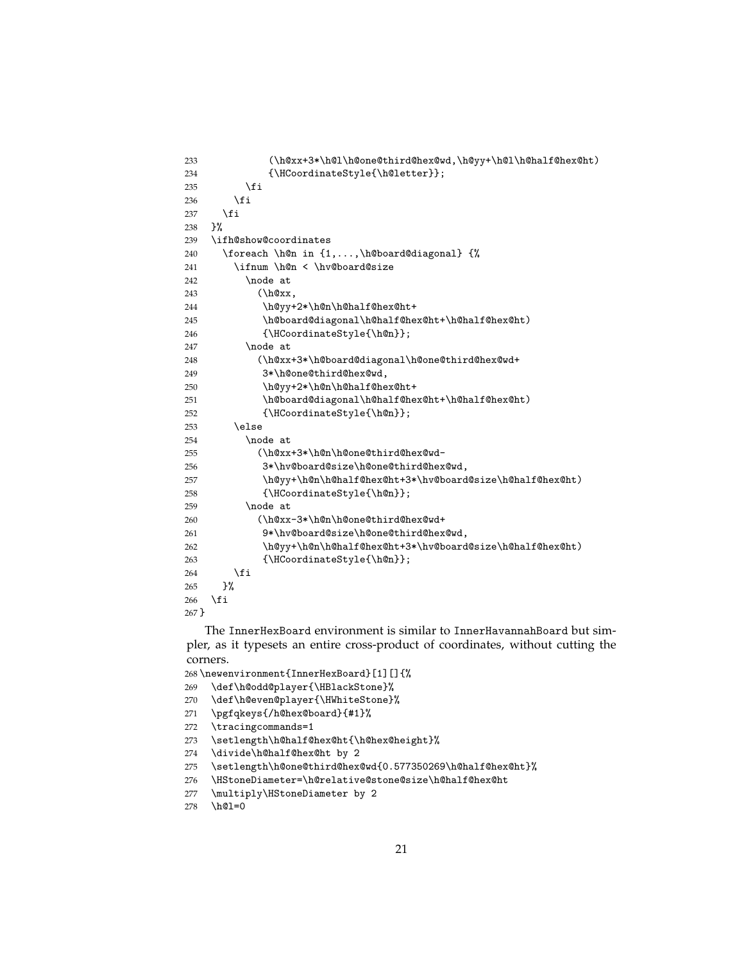```
233 (\h@xx+3*\h@l\h@one@third@hex@wd,\h@yy+\h@l\h@half@hex@ht)
234 {\HCoordinateStyle{\h@letter}};
235 \overline{1}236 \fi
237 \ifmmode{\big\vert} \else{ 137 \fi 1
238 }%
239 \ifh@show@coordinates
240 \foreach \h@n in {1,...,\h@board@diagonal} {%
241 \ifnum \h@n < \hv@board@size
242 \node at
243 (\h@xx,
244 \h@yy+2*\h@n\h@half@hex@ht+
245 \h@board@diagonal\h@half@hex@ht+\h@half@hex@ht)
246 {\HCoordinateStyle{\h@n}};
247 \node at
248 (\h@xx+3*\h@board@diagonal\h@one@third@hex@wd+
249 3*\h@one@third@hex@wd,
250 \h@yy+2*\h@n\h@half@hex@ht+
251 \h@board@diagonal\h@half@hex@ht+\h@half@hex@ht)
252 {\HCoordinateStyle{\h@n}};
253 \else
254 \node at
255 (\h@xx+3*\h@n\h@one@third@hex@wd-
256 3*\hv@board@size\h@one@third@hex@wd,
257 \h@yy+\h@n\h@half@hex@ht+3*\hv@board@size\h@half@hex@ht)
258 {\HCoordinateStyle{\h@n}};
259 \node at
260 (\h@xx-3*\h@n\h@one@third@hex@wd+
261 9*\hv@board@size\h@one@third@hex@wd,
262 \h@yy+\h@n\h@half@hex@ht+3*\hv@board@size\h@half@hex@ht)
263 {\HCoordinateStyle{\h@n}};
264 \overrightarrow{fi}265 }%
266 \fi
267 }
```
The InnerHexBoard environment is similar to InnerHavannahBoard but simpler, as it typesets an entire cross-product of coordinates, without cutting the corners.

\newenvironment{InnerHexBoard}[1][]{%

```
269 \def\h@odd@player{\HBlackStone}%
```

```
270 \def\h@even@player{\HWhiteStone}%
```
\pgfqkeys{/h@hex@board}{#1}%

```
272 \tracingcommands=1
```
273 \setlength\h@half@hex@ht{\h@hex@height}%

```
274 \divide\h@half@hex@ht by 2
```

```
275 \setlength\h@one@third@hex@wd{0.577350269\h@half@hex@ht}%
```

```
276 \HStoneDiameter=\h@relative@stone@size\h@half@hex@ht
```

```
277 \multiply\HStoneDiameter by 2
```

```
278 \h@l=0
```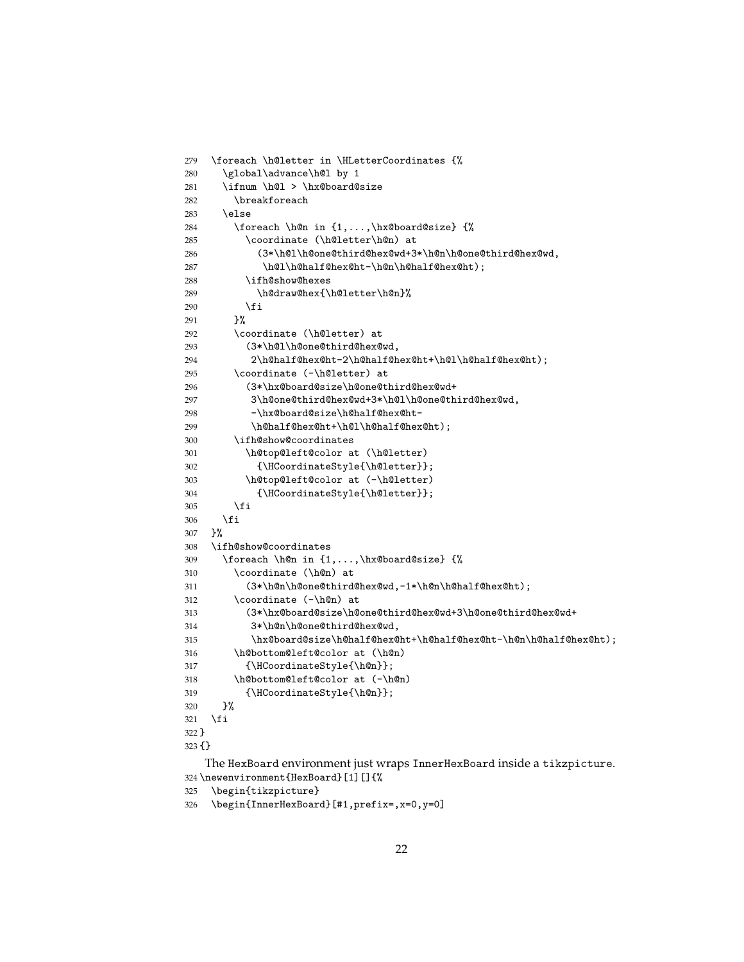```
279 \foreach \h@letter in \HLetterCoordinates {%
280 \global\advance\h@l by 1
281 \ifnum \h@l > \hx@board@size
282 \breakforeach
283 \else
284 \foreach \h@n in {1,...,\hx@board@size} {%
285 \coordinate (\h@letter\h@n) at
286 (3*\h@l\h@one@third@hex@wd+3*\h@n\h@one@third@hex@wd,
287 \h@l\h@half@hex@ht-\h@n\h@half@hex@ht);
288 \ifh@show@hexes
289 \h@draw@hex{\h@letter\h@n}%
290 \setminusfi
291 }%
292 \coordinate (\h@letter) at
293 (3*\h@l\h@one@third@hex@wd,
294 2\h@half@hex@ht-2\h@half@hex@ht+\h@l\h@half@hex@ht);
295 \coordinate (-\h@letter) at
296 (3*\hx@board@size\h@one@third@hex@wd+
297 3\h@one@third@hex@wd+3*\h@l\h@one@third@hex@wd,
298 -\hx@board@size\h@half@hex@ht-
299 \h@half@hex@ht+\h@l\h@half@hex@ht);
300 \ifh@show@coordinates
301 \h@top@left@color at (\h@letter)
302 {\HCoordinateStyle{\h@letter}};
303 \h@top@left@color at (-\h@letter)
304 {\HCoordinateStyle{\h@letter}};
305 \fi
306 \fi
307 }%
308 \ifh@show@coordinates
309 \foreach \h@n in {1,...,\hx@board@size} {%
310 \coordinate (\h@n) at
311 (3*\h@n\h@one@third@hex@wd,-1*\h@n\h@half@hex@ht);
312 \coordinate (-\h@n) at
313 (3*\hx@board@size\h@one@third@hex@wd+3\h@one@third@hex@wd+
314 3*\h@n\h@one@third@hex@wd,
315 \hx@board@size\h@half@hex@ht+\h@half@hex@ht-\h@n\h@half@hex@ht);
316 \h@bottom@left@color at (\h@n)
317 {\HCoordinateStyle{\h@n}};
318 \h@bottom@left@color at (-\h@n)
319 {\HCoordinateStyle{\h@n}};
320 \frac{1}{2}321 \fi
322 }
323 {}
   The HexBoard environment just wraps InnerHexBoard inside a tikzpicture.
324 \newenvironment{HexBoard}[1][]{%
```

```
325 \begin{tikzpicture}
```

```
326 \begin{InnerHexBoard}[#1,prefix=,x=0,y=0]
```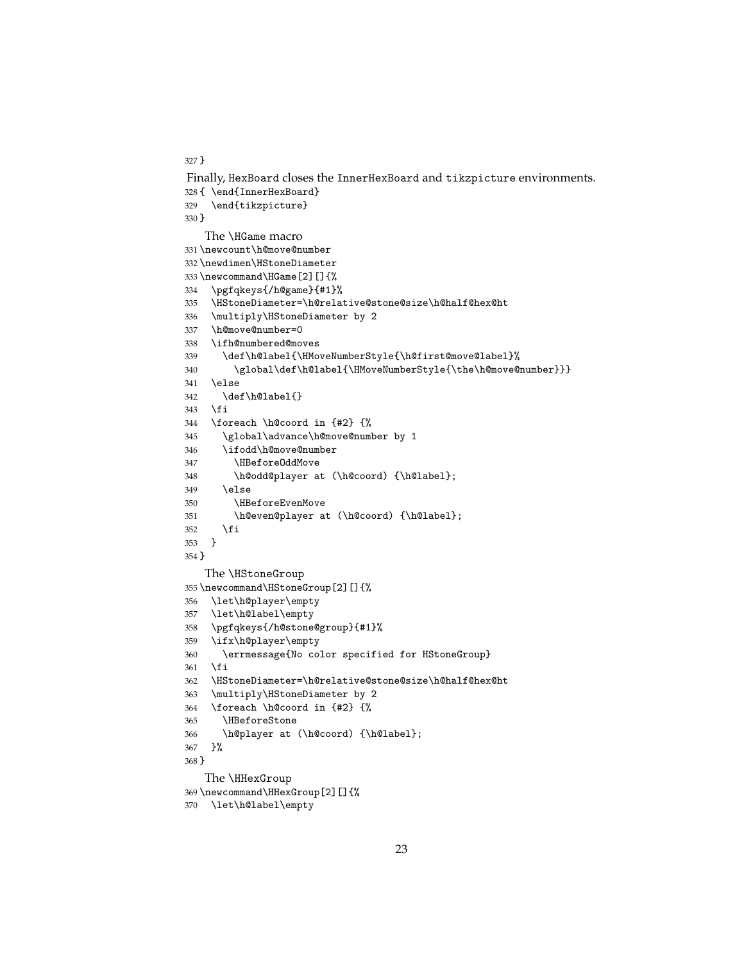}

```
Finally, HexBoard closes the InnerHexBoard and tikzpicture environments.
328 { \end{InnerHexBoard}
329 \end{tikzpicture}
330 }
   The \HGame macro
331 \newcount\h@move@number
332 \newdimen\HStoneDiameter
333 \newcommand\HGame[2][]{%
334 \pgfqkeys{/h@game}{#1}%
335 \HStoneDiameter=\h@relative@stone@size\h@half@hex@ht
336 \multiply\HStoneDiameter by 2
337 \h@move@number=0
338 \ifh@numbered@moves
339 \def\h@label{\HMoveNumberStyle{\h@first@move@label}%
340 \global\def\h@label{\HMoveNumberStyle{\the\h@move@number}}}
341 \else
342 \def\h@label{}
343 \fi
344 \foreach \h@coord in {#2} {%
345 \global\advance\h@move@number by 1
346 \ifodd\h@move@number
347 \HBeforeOddMove
348 \h@odd@player at (\h@coord) {\h@label};
349 \else
350 \HBeforeEvenMove
351 \h@even@player at (\h@coord) {\h@label};
352 \fi<br>353 }
353 }
354 }
   The \HStoneGroup
355 \newcommand\HStoneGroup[2][]{%
356 \let\h@player\empty
357 \let\h@label\empty
358 \pgfqkeys{/h@stone@group}{#1}%
359 \ifx\h@player\empty
360 \errmessage{No color specified for HStoneGroup}
361 \fi
362 \HStoneDiameter=\h@relative@stone@size\h@half@hex@ht
363 \multiply\HStoneDiameter by 2
364 \foreach \h@coord in {#2} {%
365 \HBeforeStone
366 \h@player at (\h@coord) {\h@label};
367 }%
368 }
   The \HHexGroup
369 \newcommand\HHexGroup[2][]{%
370 \let\h@label\empty
```